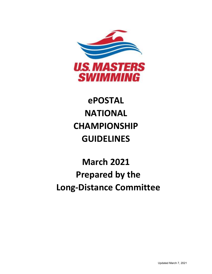

# **ePOSTAL NATIONAL CHAMPIONSHIP GUIDELINES**

# **March 2021 Prepared by the Long-Distance Committee**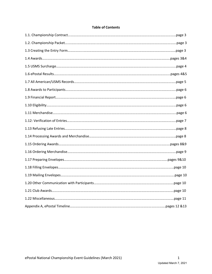#### **Table of Contents**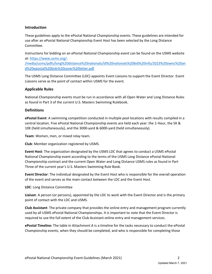#### **Introduction**

These guidelines apply to the ePostal National Championship events. These guidelines are intended for use after an ePostal National Championship Event Host has been selected by the Long Distance Committee.

Instructions for bidding on an ePostal National Championship event can be found on the USMS website at: [https://www.usms.org/-](https://www.usms.org/-/media/usms/pdfs/long%20distance%20nationals/ld%20nationals%20bid%20info/2023%20ownc%20and%20epostal%20bids%20cover%20letter.pdf)

[/media/usms/pdfs/long%20distance%20nationals/ld%20nationals%20bid%20info/2023%20ownc%20an](https://www.usms.org/-/media/usms/pdfs/long%20distance%20nationals/ld%20nationals%20bid%20info/2023%20ownc%20and%20epostal%20bids%20cover%20letter.pdf) [d%20epostal%20bids%20cover%20letter.pdf](https://www.usms.org/-/media/usms/pdfs/long%20distance%20nationals/ld%20nationals%20bid%20info/2023%20ownc%20and%20epostal%20bids%20cover%20letter.pdf)

The USMS Long Distance Committee (LDC) appoints Event Liaisons to support the Event Director. Event Liaisons serve as the point of contact within USMS for the event.

#### **Applicable Rules**

National Championship events must be run in accordance with all Open Water and Long Distance Rules as found in Part 3 of the current U.S. Masters Swimming Rulebook.

#### **Definitions**

**ePostal Event**: A swimming competition conducted in multiple pool locations with results compiled in a central location. Five ePostal National Championship events are held each year: the 1-Hour, the 5K & 10K (held simultaneously), and the 3000-yard & 6000-yard (held simultaneously).

**Team**: Women, men, or mixed relay team.

**Club**: Member organization registered by USMS.

**Event Host**: The organization designated by the USMS LDC that agrees to conduct a USMS ePostal National Championship event according to the terms of the USMS Long Distance ePostal National Championship contract and the current Open Water and Long Distance USMS rules as found in Part Three of the current year's U.S. Masters Swimming Rule Book.

**Event Director**: The individual designated by the Event Host who is responsible for the overall operation of the event and serves as the main contact between the LDC and the Event Host.

**LDC**: Long Distance Committee

**Liaison**: A person (or persons), appointed by the LDC to work with the Event Director and is the primary point of contact with the LDC and USMS.

**Club Assistant**: The private company that provides the online entry and management program currently used by all USMS ePostal National Championships. It is important to note that the Event Director is required to use the full extent of the Club Assistant online entry and management services.

**ePostal Timeline:** The table in Attachment A is a timeline for the tasks necessary to conduct the ePostal Championship events, when they should be completed, and who is responsible for completing those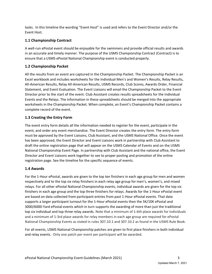tasks. In this timeline the wording "Event Host" is used and refers to the Event Director and/or the Event Host.

# **1.1 Championship Contract**

A well-run ePostal event should be enjoyable for the swimmers and provide official results and awards in an accurate and timely manner. The purpose of the USMS Championship Contract (Contract) is to ensure that a USMS ePostal National Championship event is conducted properly.

# **1.2 Championship Packet**

All the results from an event are captured in the Championship Packet. The Championship Packet is an Excel workbook and includes worksheets for the Individual Men's and Women's Results, Relay Results, All-American Results, Relay All-American Results, USMS Records, Club Scores, Awards Order, Financial Statement, and Event Evaluation. The Event Liaisons will email the Championship Packet to the Event Director prior to the start of the event. Club Assistant creates results spreadsheets for the Individual Events and the Relays. The information in these spreadsheets should be merged into the appropriate worksheets in the Championship Packet. When complete, an Event's Championship Packet contains a complete record of the event.

# **1.3 Creating the Entry Form**

The event entry form details all the information needed to register for the event, participate in the event, and order any event merchandise. The Event Director creates the entry form. The entry form must be approved by the Event Liaisons, Club Assistant, and the USMS National Office. Once the event has been approved, the Event Director and Event Liaisons work in partnership with Club Assistant to draft the online registration page that will appear on the USMS Calendar of Events and on the USMS National Championship Event Page. In partnership with Club Assistant and the national office, the Event Director and Event Liaisons work together to see to proper posting and promotion of the online registration page. See the timeline for the specific sequence of events.

# **1.4 Awards**

For the 1-Hour ePostal, awards are given to the top ten finishers in each age group for men and women respectively and to the top six relay finishers in each relay age group for men's, women's, and mixed relays. For all other ePostal National Championship events, individual awards are given for the top six finishers in each age group and the top three finishers for relays. Awards for the 1-Hour ePostal event are based on data collected from participant entries from past 1-Hour ePostal events. That data supports a larger participant turnout for the 1-Hour ePostal events then the 5K/10K ePostal and 3000/6000-Yard ePostal events which in turn supports the awarding of more than just the traditional top six individual and top three relay awards. Note that a minimum of 1-6th place awards for individuals and a minimum of 1-3rd place awards for relay members in each age group are required for ePostal National Championship Events as stated in rules 307.10.1 and 307.10.2 as found in the USMS Rule Book.

For all events, USMS National Championship patches are given to first place finishers in both individual and relay events. Only one patch per event per participant will be awarded.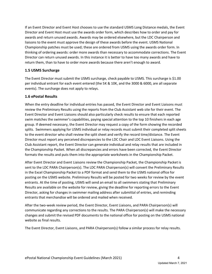If an Event Director and Event Host chooses to use the standard USMS Long Distance medals, the Event Director and Event Host must use the awards order form, which describes how to order and pay for awards and return unused awards. Awards may be ordered elsewhere, but the LDC Chairperson and liaisons to the event must approve the design of these awards before the event. USMS National Championship patches must be used; these are ordered from USMS using the awards order form. In thinking of ordering awards: order more awards than necessary to accommodate corrections. The Event Director can return unused awards. In this instance it is better to have too many awards and have to return them, than to have to order more awards because there aren't enough to award.

# **1.5 USMS Surcharge**

The Event Director must submit the USMS surcharge, check payable to USMS. This surcharge is \$1.00 per individual entrant for each event entered (the 5K & 10K, and the 3000 & 6000, are all separate events). The surcharge does not apply to relays.

# **1.6 ePostal Results**

When the entry deadline for individual entries has passed, the Event Director and Event Liaisons must review the Preliminary Results using the reports from the Club Assistant web site for their event. The Event Director and Event Liaisons should also particularly check results to ensure that each reported swim matches the swimmer's capabilities, paying special attention to the top 10 finishers in each age group. If deemed necessary, the Event Director may request a copy of the form showing the recorded splits. Swimmers applying for USMS individual or relay records must submit their completed split sheets to the event director who shall review the split sheet and verify the record time/distance. The Event Director must report any perceived discrepancies to the LDC Chair and LDC Event Liaisons. Using the Club Assistant report, the Event Director can generate individual and relay results that are included in the Championship Packet. When all discrepancies and errors have been corrected, the Event Director formats the results and puts them into the appropriate worksheets in the Championship Packet.

After Event Director and Event Liaisons review the Championship Packet, the Championship Packet is sent to the LDC PARA Chairperson(s). The LDC PARA Chairperson(s) will convert the Preliminary Results in the Excel Championship Packet to a PDF format and send them to the USMS national office for posting on the USMS website. Preliminary Results will be posted for two weeks for review by the event entrants. At the time of posting, USMS will send an email to all swimmers stating that Preliminary Results are available on the website for review, giving the deadline for reporting errors to the Event Director, asking for changes in swimmer mailing address after submittal of entries, and reminding entrants that merchandise will be ordered and mailed when received.

After the two-week review period, the Event Director, Event Liaisons, and PARA Chairperson(s) will communicate regarding any corrections to the results. The PARA Chairperson(s) will make the necessary changes and submit the revised PDF documents to the national office for posting on the USMS national website as final results.

The Event Director, Event Liaisons, and PARA Chairperson(s) follow a similar process for relay results.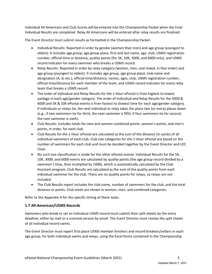Individual All Americans and Club Scores will be entered into the Championship Packet when the Final Individual Results are completed. Relay All Americans will be entered after relay results are finalized.

The Event Director must submit results as formatted in the Championship Packet.

- Individual Results: Reported in order by gender (women than men) and age group (youngest to oldest). It includes age group, age group place, first and last name, age, club, USMS registration number, official time or distance, quality points (for 5K, 10K, 3000, and 6000 only), and USMS record indicator for every swimmer who breaks a USMS record.
- Relay Results: Reported in order by relay category (women, men, and mixed, in that order) and age group (youngest to oldest). It includes age group, age group place, club name and designation (A, B, etc.), official time/distance, names, ages, club, USMS registration number, official time/distance for each member of the team, and USMS record indicator for every relay team that breaks a USMS record.
- The order of Individual and Relay Results for the 1-Hour ePostal is from highest to lowest yardage in each age/gender category. The order of Individual and Relay Results for the 3000 & 6000 and 5K & 10K ePostal events is from fastest to slowest time for each age/gender category. If individuals or relays tie, the next individual or relay takes the place two (or more) places down (e.g., if two swimmers tie for third, the next swimmer is fifth; if four swimmers tie for second, the next swimmer is sixth).
- Club Results: Includes totals for men and women combined points, women's points, and men's points, in order, for each club.
- Club Results for the 1-Hour ePostal are calculated as the sum of the distance (in yards) of all individual swimmers of each club. Club size categories for the 1-Hour ePostal are based on the number of swimmers for each club and must be decided together by the Event Director and LDC Chair.
- No such size classification is made for the other ePostal events. Individual Results for the 5K, 10K, 3000, and 6000 events are calculated by quality points (the age group record divided by a swimmer's time, then multiplied by 1000), which is automatically calculated by the Club Assistant program. Club Results are calculated as the sum of the quality points from each individual swimmer for the club. There are no quality points for relays, so relays are not included.
- The Club Results report includes the club name, number of swimmers for the club, and the total distance or points. Club totals are shown in women, men, and combined categories.

Refer to the Appendix A for the specific timing of these tasks.

#### **1.7 All-American/USMS Records**

Swimmers who break or set an individual USMS record must submit their split sheets by the entry deadline, either by mail or a scanned version by email. The Event Director must review the split sheets of all individual record swims.

The Event Director must report first-place USMS member finishers and record breakers/setters in each age group, for both individual swims and relays, using the Excel forms contained in the Championship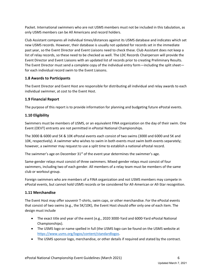Packet. International swimmers who are not USMS members must not be included in this tabulation, as only USMS members can be All Americans and record holders.

Club Assistant compares all individual times/distances against its USMS database and indicates which set new USMS records. However, their database is usually not updated for records set in the immediate past year, so the Event Director and Event Liaisons need to check these. Club Assistant does not keep a list of relay records, so these need to be checked as well. The LDC Records Chairperson will provide the Event Director and Event Liaisons with an updated list of records prior to creating Preliminary Results. The Event Director must send a complete copy of the individual entry form—including the split sheet for each individual record swim to the Event Liaisons.

# **1.8 Awards to Participants**

The Event Director and Event Host are responsible for distributing all individual and relay awards to each individual swimmer, at cost to the Event Host.

# **1.9 Financial Report**

The purpose of this report is to provide information for planning and budgeting future ePostal events.

# **1.10 Eligibility**

Swimmers must be members of USMS, or an equivalent FINA organization on the day of their swim. One Event (OEVT) entrants are not permitted in ePostal National Championships.

The 3000 & 6000 and 5K & 10K ePostal events each consist of two swims (3000 and 6000 and 5K and 10K, respectively). A swimmer who wishes to swim in both events must swim both events separately; however, a swimmer may request to use a split time to establish a national ePostal record.

The swimmer's age on December  $31^{st}$  of the event year determines the swimmer's age.

Same-gender relays must consist of three swimmers. Mixed-gender relays must consist of four swimmers, including two of each gender. All members of a relay team must be members of the same club or workout group.

Foreign swimmers who are members of a FINA organization and not USMS members may compete in ePostal events, but cannot hold USMS records or be considered for All-American or All-Star recognition.

# **1.11 Merchandise**

The Event Host may offer souvenir T-shirts, swim caps, or other merchandise. For the ePostal events that consist of two swims (e.g., the 5K/10K), the Event Host should offer only one of each item. The design must include

- The exact title and year of the event (e.g., 2020 3000-Yard and 6000-Yard ePostal National Championships).
- The USMS logo or name spelled in full (the USMS logo can be found on the USMS website at [https://www.usms.org/logos/content/standardlogos.](https://www.usms.org/logos/content/standardlogos)
- The USMS sponsor logo, merchandise, or other details if required and stated by the contract.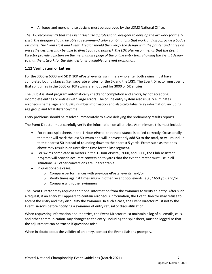• All logos and merchandise designs must be approved by the USMS National Office.

*The LDC recommends that the Event Host use a professional designer to develop the art work for the Tshirt. The designer should be able to recommend color combinations that work and also provide a budget estimate. The Event Host and Event Director should then verify the design with the printer and agree on price (the designer may be able to direct you to a printer). The LDC also recommends that the Event Director provide a picture on the merchandise page of the online entry form showing the T-shirt design, so that the artwork for the shirt design is available for event promotion.* 

# **1.12 Verification of Entries**

For the 3000 & 6000 and 5K & 10K ePostal events, swimmers who enter both swims must have completed both distances (i.e., separate entries for the 5K and the 10K). The Event Director must verify that split times in the 6000 or 10K swims are not used for 3000 or 5K entries.

The Club Assistant program automatically checks for completion and errors, by not accepting incomplete entries or entries with large errors. The online entry system also usually eliminates erroneous name, age, and USMS number information and also calculates relay information, including age group and total distance/time.

Entry problems should be resolved immediately to avoid delaying the preliminary results reports.

The Event Director must carefully verify the information on all entries. At minimum, this must include:

- For record split sheets in the 1-Hour ePostal that the distance is tallied correctly. Occasionally, the timer will mark the last 50 swum and will inadvertently add 50 to the total, or will round up to the nearest 50 instead of rounding down to the nearest 5 yards. Errors such as the ones above may result in an unrealistic time for the last segment.
- For swims completed in meters in the 1-Hour ePostal, 3000, and 6000, the Club Assistant program will provide accurate conversion to yards that the event director must use in all situations. All other conversions are unacceptable.
- In questionable cases,
	- o Compare performances with previous ePostal events; and/or
	- o Verify times against times swum in other recent pool events (e.g., 1650 yd); and/or
	- o Compare with other swimmers

The Event Director may request additional information from the swimmer to verify an entry. After such a request, if an entry still appears to contain erroneous information, the Event Director may refuse to accept the entry and may disqualify the swimmer. In such a case, the Event Director must notify the Event Liaisons before notifying a swimmer of entry refusal or disqualification.

When requesting information about entries, the Event Director must maintain a log of all emails, calls, and other communication. Any changes to the entry, including the split sheet, must be logged so that the adjustment can be traced if questions arise.

When in doubt about the validity of an entry, contact the Event Liaisons promptly.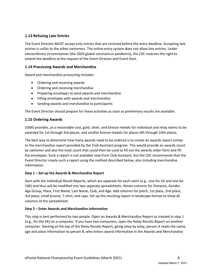#### **1.13 Refusing Late Entries**

The Event Director MUST accept only entries that are received before the entry deadline. Accepting late entries is unfair to the other swimmers. The online entry system does not allow late entries. Under extraordinary circumstances (the 2020 global coronavirus pandemic), the LDC reserves the right to extend the deadline at the request of the Event Director and Event Host.

#### **1.14 Processing Awards and Merchandise**

Award and merchandise processing includes:

- Ordering and receiving awards
- Ordering and receiving merchandise
- Preparing envelopes to send awards and merchandise
- Filling envelopes with awards and merchandise
- Sending awards and merchandise to participants

The Event Director should prepare for these activities as soon as preliminary results are available.

#### **1.15 Ordering Awards**

USMS provides, at a reasonable cost, gold, silver, and bronze medals for individual and relay swims to be awarded for 1st through 3rd places, and smaller bronze medals for places 4th through 10th places.

The best way to determine how many awards need to be ordered is to create an awards report similar to the merchandise report provided by the Club Assistant program. This would provide an awards count by swimmer and also the total count that could then be used to fill out the awards order form and fill the envelopes. Such a report is not available now from Club Assistant, but the LDC recommends that the Event Director create such a report using the method described below, also including merchandise information.

#### **Step 1 – Set up the Awards & Merchandise Report**

Start with the Individual Result Reports, which are separate for each swim (e.g., one for 5K and one for 10K) and thus will be modified into two separate spreadsheets. Retain columns for Distance, Gender, Age Group, Place, First Name, Last Name, Club, and Age. Add columns for patch, 1st place, 2nd place, 3rd place, small bronze, T-shirt, and caps. Set up the resulting report in landscape format to show all columns of the spreadsheet.

#### **Step 2 – Enter Awards and Merchandise information**

This step is best performed by two people. Open an Awards & Merchandise Report as created in step 1 (e.g., for the 5K) on a computer. If you have two computers, open the Relay Results Report on another computer. Starting at the top of the Relay Results Report, going relay by relay, person A reads the name, age and place information to person B, who enters award information in the Awards and Merchandise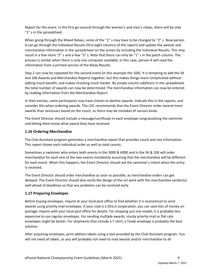Report for the event. In the first go-around through the women's and men's relays, there will be only "1" s in the spreadsheet.

When going through the Mixed Relays, some of the "1" s may have to be changed to "2" s. Now person A can go through the Individual Results (first eight columns of the report) and update the awards and merchandise information in the spreadsheet on the screen by including the Individual Results. This may result in a few more "2" s and a few "3" s. Note that there can only be "1" s in the patch column. The process is similar when there is only one computer available. In this case, person A will read the information from a printed version of the Relay Results.

Step 2 can now be repeated for the second event (in this example the 10K). It is tempting to add the 5K and 10K Awards and Merchandise Reports together, but this makes things more complicated without adding much benefit, and makes checking much harder. By simple column additions in the spreadsheet the total number of awards can now be determined. The merchandise information can now be entered by reading information from the Merchandise Report*.*

In their entries, some participants may have chosen to decline awards. Indicate this in the reports, and consider this when ordering awards. The LDC recommends that the Event Director order several more awards than necessary based on the count, as there may be mistakes of various kinds.

The Event Director should include a message/certificate in each envelope congratulating the swimmer and letting them know what award they have received.

# **1.16 Ordering Merchandise**

The Club Assistant program generates a merchandise report that provides count and size information. This report shows each individual order as well as total counts.

Sometimes a swimmer who enters both events in the 3000 & 6000 and in the 5K & 10K will order merchandise for each one of the two events mistakenly assuming that the merchandise will be different for each event. When this happens, the Event Director should ask the swimmer's intent when the entry is received.

The Event Director should order merchandise as soon as possible, as merchandise orders can get delayed. The Event Director should also verify the design of the art work with the merchandise vendor(s) well ahead of deadlines so that any problems can be resolved early.

# **1.17 Preparing Envelopes**

Before buying envelopes, inquire at your local post office to find whether it is economical to send awards using priority mail envelopes. If your club is a 501c3 corporation, you can save lots of money on postage; inquire with your local post office for details. For shipping just one medal, it is probably less expensive to use regular envelopes. For sending multiple awards, sturdy priority mail or flat rate envelopes might be better. For shipments that include a T-shirt, a Tyvek envelope is probably the best solution.

After acquiring envelopes, print address labels using a tool provided by the Club Assistant program. You will not need all labels, as you will probably not need to mail awards and/or merchandise to all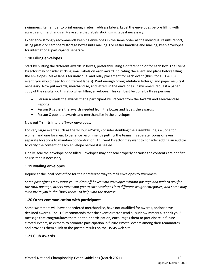swimmers. Remember to print enough return address labels. Label the envelopes before filling with awards and merchandise. Make sure that labels stick, using tape if necessary.

Experience strongly recommends keeping envelopes in the same order as the individual results report, using plastic or cardboard storage boxes until mailing. For easier handling and mailing, keep envelopes for international participants separate.

#### **1.18 Filling envelopes**

Start by putting the different awards in boxes, preferably using a different color for each box. The Event Director may consider sticking small labels on each award indicating the event and place before filling the envelopes. Make labels for individual and relay placement for each event (thus, for a 5K & 10K event, you would need four different labels). Print enough "congratulation letters," and paper results if necessary. Now put awards, merchandise, and letters in the envelopes. If swimmers request a paper copy of the results, do this also when filling envelopes. This can best be done by three persons:

- Person A reads the awards that a participant will receive from the Awards and Merchandise Reports.
- Person B gathers the awards needed from the boxes and labels the awards.
- Person C puts the awards and merchandise in the envelopes.

Now put T-shirts into the Tyvek envelopes.

For very large events such as the 1-Hour ePostal, consider doubling the assembly line, i.e., one for women and one for men. Experience recommends putting the teams in separate rooms or even separate locations to maintain concentration. An Event Director may want to consider adding an auditor to verify the content of each envelope before it is sealed.

Finally, seal the envelope once filled. Envelopes may not seal properly because the contents are not flat, so use tape if necessary.

#### **1.19 Mailing envelopes**

Inquire at the local post office for their preferred way to mail envelopes to swimmers.

*Some post offices may want you to drop off boxes with envelopes without postage and wait to pay for the total postage, others may want you to sort envelopes into different weight categories, and some may even invite you in the "back room" to help with the process.*

#### **1.20 Other communication with participants**

Some swimmers will have not ordered merchandise, have not qualified for awards, and/or have declined awards. The LDC recommends that the event director send all such swimmers a "thank you" message that congratulates them on their participation, encourages them to participate in future ePostal events, asks them to promote participation in future ePostal events among their teammates, and provides them a link to the posted results on the USMS web site.

# **1.21 Club Awards**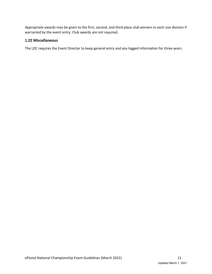Appropriate awards may be given to the first, second, and third place club winners in each size division if warranted by the event entry. Club awards are not required.

#### **1.22 Miscellaneous**

The LDC requires the Event Director to keep general entry and any logged information for three years.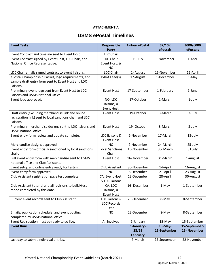# **ATTACHMENT A**

# **USMS ePostal Timelines**

| <b>Event Tasks</b>                                                                                                          | <b>Responsible</b><br><b>Party</b>          | 1-Hour ePostal           | <b>5K/10K</b><br>ePostals | 3000/6000<br>ePostals |
|-----------------------------------------------------------------------------------------------------------------------------|---------------------------------------------|--------------------------|---------------------------|-----------------------|
| Event Contract and timeline sent to Event Host.                                                                             | LDC Chair                                   |                          |                           |                       |
| Event Contract signed by Event Host, LDC Chair, and<br>National Office Representative.                                      | LDC Chair,<br>Event Host, &                 | 19-July                  | 1-November                | 1-April               |
|                                                                                                                             | <b>NO</b>                                   |                          |                           |                       |
| LDC Chair emails signed contract to event liaisons.                                                                         | <b>LDC Chair</b>                            | 2- August                | 15-November               | 15-April              |
| ePostal Championship Packet, logo requirements, and<br>sample draft entry form sent to Event Host and LDC<br>liaisons.      | PARA Lead(s)                                | 17-August                | 1-December                | 1-May                 |
| Preliminary event logo sent from Event Host to LDC<br>liaisons and USMS National Office.                                    | <b>Event Host</b>                           | 17-September             | 1-February                | 1-June                |
| Event logo approved.                                                                                                        | NO, LDC<br>liaisons, &<br>Event Host.       | 17-October               | 1-March                   | 1-July                |
| Draft entry (excluding merchandise link and online<br>registration link) sent to local sanctions chair and LDC<br>liaisons. | <b>Event Host</b>                           | 19-October               | 3-March                   | 3-July                |
| Preliminary merchandise designs sent to LDC liaisons and<br>USMS national office.                                           | <b>Event Host</b>                           | 19- October              | 3-March                   | 3-July                |
| Event entry form review and update complete.                                                                                | LDC liaisons &<br><b>Event Host</b>         | 2-November               | 17-March                  | 18-July               |
| Merchandise designs approved.                                                                                               | ΝO                                          | 9-November               | 24-March                  | 25-July               |
| Event entry form officially sanctioned by local sanctions<br>chair.                                                         | <b>Local Sanctions</b><br>Chair             | 15-November              | 30-March                  | 31 July               |
| Full event entry form with merchandise sent to USMS<br>national office and Club Assistant.                                  | <b>Event Host</b>                           | 16- November             | 31-March                  | 1-August              |
| Event setup and online entry ready for testing.                                                                             | Club Assistant                              | 30-November              | 14-April                  | 16-August             |
| Event entry form approved.                                                                                                  | <b>NO</b>                                   | 6-December               | 21-April                  | 23-August             |
| Club Assistant registration page test complete                                                                              | CA, Event Host,<br>& LDC liaisons           | 13-December              | 28-April                  | 30-August             |
| Club Assistant tutorial and all revisions to build/test<br>mode completed by this date.                                     | CA, LDC<br>liaisons, &<br><b>Event Host</b> | 16-December              | 1-May                     | 1-September           |
| Current event records sent to Club Assistant.                                                                               | LDC liaisons&<br><b>LDC Records</b><br>Lead | 23-December              | 8-May                     | 8-September           |
| Emails, publication schedule, and event posting                                                                             | <b>NO</b>                                   | 23-December              | 8-May                     | 8-September           |
| completed by USMS national office.                                                                                          |                                             |                          |                           |                       |
| Event Registration must be ready to go live.                                                                                | All involved                                | 1-January                | 15-May                    | 15-September          |
| <b>Event Runs</b>                                                                                                           |                                             | 1-January-               | 15-May-                   | 15-September-         |
|                                                                                                                             |                                             | 28/29<br><b>February</b> | 15-September              | 15- November          |
| Last day to submit individual entries.                                                                                      |                                             | 7-March                  | 22-September              | 22-November           |